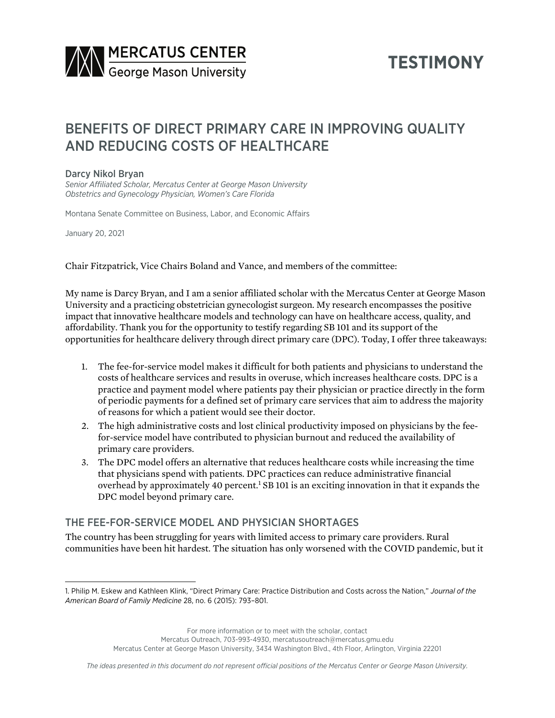

# **TESTIMONY**

# BENEFITS OF DIRECT PRIMARY CARE IN IMPROVING QUALITY AND REDUCING COSTS OF HEALTHCARE

#### Darcy Nikol Bryan

*Senior Affiliated Scholar, Mercatus Center at George Mason University Obstetrics and Gynecology Physician, Women's Care Florida*

Montana Senate Committee on Business, Labor, and Economic Affairs

January 20, 2021

Chair Fitzpatrick, Vice Chairs Boland and Vance, and members of the committee:

My name is Darcy Bryan, and I am a senior affiliated scholar with the Mercatus Center at George Mason University and a practicing obstetrician gynecologist surgeon. My research encompasses the positive impact that innovative healthcare models and technology can have on healthcare access, quality, and affordability. Thank you for the opportunity to testify regarding SB 101 and its support of the opportunities for healthcare delivery through direct primary care (DPC). Today, I offer three takeaways:

- 1. The fee-for-service model makes it difficult for both patients and physicians to understand the costs of healthcare services and results in overuse, which increases healthcare costs. DPC is a practice and payment model where patients pay their physician or practice directly in the form of periodic payments for a defined set of primary care services that aim to address the majority of reasons for which a patient would see their doctor.
- 2. The high administrative costs and lost clinical productivity imposed on physicians by the feefor-service model have contributed to physician burnout and reduced the availability of primary care providers.
- 3. The DPC model offers an alternative that reduces healthcare costs while increasing the time that physicians spend with patients. DPC practices can reduce administrative financial overhead by approximately 40 percent.<sup>1</sup> SB 101 is an exciting innovation in that it expands the DPC model beyond primary care.

## THE FEE-FOR-SERVICE MODEL AND PHYSICIAN SHORTAGES

The country has been struggling for years with limited access to primary care providers. Rural communities have been hit hardest. The situation has only worsened with the COVID pandemic, but it

For more information or to meet with the scholar, contact

Mercatus Outreach, 703-993-4930, mercatusoutreach@mercatus.gmu.edu

Mercatus Center at George Mason University, 3434 Washington Blvd., 4th Floor, Arlington, Virginia 22201

<sup>1.</sup> Philip M. Eskew and Kathleen Klink, "Direct Primary Care: Practice Distribution and Costs across the Nation," *Journal of the American Board of Family Medicine* 28, no. 6 (2015): 793–801.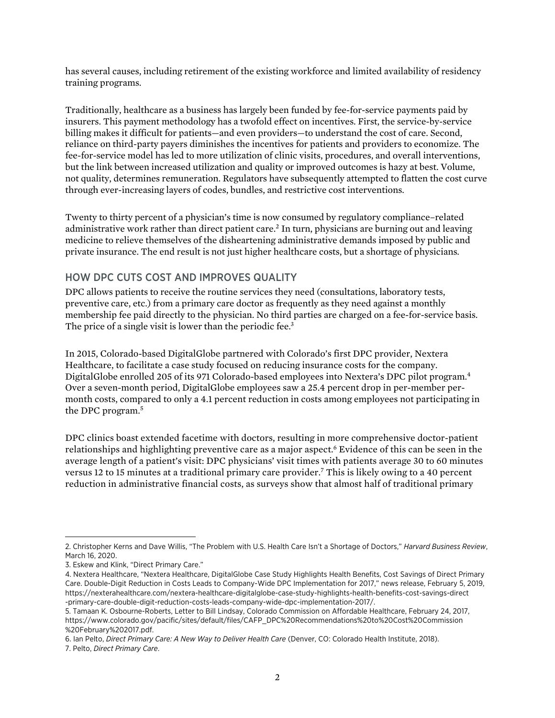has several causes, including retirement of the existing workforce and limited availability of residency training programs.

Traditionally, healthcare as a business has largely been funded by fee-for-service payments paid by insurers. This payment methodology has a twofold effect on incentives. First, the service-by-service billing makes it difficult for patients—and even providers—to understand the cost of care. Second, reliance on third-party payers diminishes the incentives for patients and providers to economize. The fee-for-service model has led to more utilization of clinic visits, procedures, and overall interventions, but the link between increased utilization and quality or improved outcomes is hazy at best. Volume, not quality, determines remuneration. Regulators have subsequently attempted to flatten the cost curve through ever-increasing layers of codes, bundles, and restrictive cost interventions.

Twenty to thirty percent of a physician's time is now consumed by regulatory compliance–related administrative work rather than direct patient care.2 In turn, physicians are burning out and leaving medicine to relieve themselves of the disheartening administrative demands imposed by public and private insurance. The end result is not just higher healthcare costs, but a shortage of physicians.

## HOW DPC CUTS COST AND IMPROVES QUALITY

DPC allows patients to receive the routine services they need (consultations, laboratory tests, preventive care, etc.) from a primary care doctor as frequently as they need against a monthly membership fee paid directly to the physician. No third parties are charged on a fee-for-service basis. The price of a single visit is lower than the periodic fee.<sup>3</sup>

In 2015, Colorado-based DigitalGlobe partnered with Colorado's first DPC provider, Nextera Healthcare, to facilitate a case study focused on reducing insurance costs for the company. DigitalGlobe enrolled 205 of its 971 Colorado-based employees into Nextera's DPC pilot program.4 Over a seven-month period, DigitalGlobe employees saw a 25.4 percent drop in per-member permonth costs, compared to only a 4.1 percent reduction in costs among employees not participating in the DPC program.5

DPC clinics boast extended facetime with doctors, resulting in more comprehensive doctor-patient relationships and highlighting preventive care as a major aspect.<sup>6</sup> Evidence of this can be seen in the average length of a patient's visit: DPC physicians' visit times with patients average 30 to 60 minutes versus 12 to 15 minutes at a traditional primary care provider.7 This is likely owing to a 40 percent reduction in administrative financial costs, as surveys show that almost half of traditional primary

<sup>2.</sup> Christopher Kerns and Dave Willis, "The Problem with U.S. Health Care Isn't a Shortage of Doctors," *Harvard Business Review*, March 16, 2020.

<sup>3.</sup> Eskew and Klink, "Direct Primary Care."

<sup>4.</sup> Nextera Healthcare, "Nextera Healthcare, DigitalGlobe Case Study Highlights Health Benefits, Cost Savings of Direct Primary Care. Double-Digit Reduction in Costs Leads to Company-Wide DPC Implementation for 2017," news release, February 5, 2019, [https://nexterahealthcare.com/nextera-healthcare-digitalglobe-case-study-highlights-health-benefits-cost-savings-direct](https://nexterahealthcare.com/nextera-healthcare-digitalglobe-case-study-highlights-health-benefits-cost-savings-direct-primary-care-double-digit-reduction-costs-leads-company-wide-dpc-implementation-2017/) [-primary-care-double-digit-reduction-costs-leads-company-wide-dpc-implementation-2017/](https://nexterahealthcare.com/nextera-healthcare-digitalglobe-case-study-highlights-health-benefits-cost-savings-direct-primary-care-double-digit-reduction-costs-leads-company-wide-dpc-implementation-2017/).

<sup>5.</sup> Tamaan K. Osbourne-Roberts, Letter to Bill Lindsay, Colorado Commission on Affordable Healthcare, February 24, 2017, [https://www.colorado.gov/pacific/sites/default/files/CAFP\\_DPC%20Recommendations%20to%20Cost%20Commission](https://www.colorado.gov/pacific/sites/default/files/CAFP_DPC%20Recommendations%20to%20Cost%20Commission%20February%202017.pdf) [%20February%202017.pdf.](https://www.colorado.gov/pacific/sites/default/files/CAFP_DPC%20Recommendations%20to%20Cost%20Commission%20February%202017.pdf)

<sup>6.</sup> Ian Pelto, *Direct Primary Care: A New Way to Deliver Health Care* (Denver, CO: Colorado Health Institute, 2018).

<sup>7.</sup> Pelto, *Direct Primary Care*.